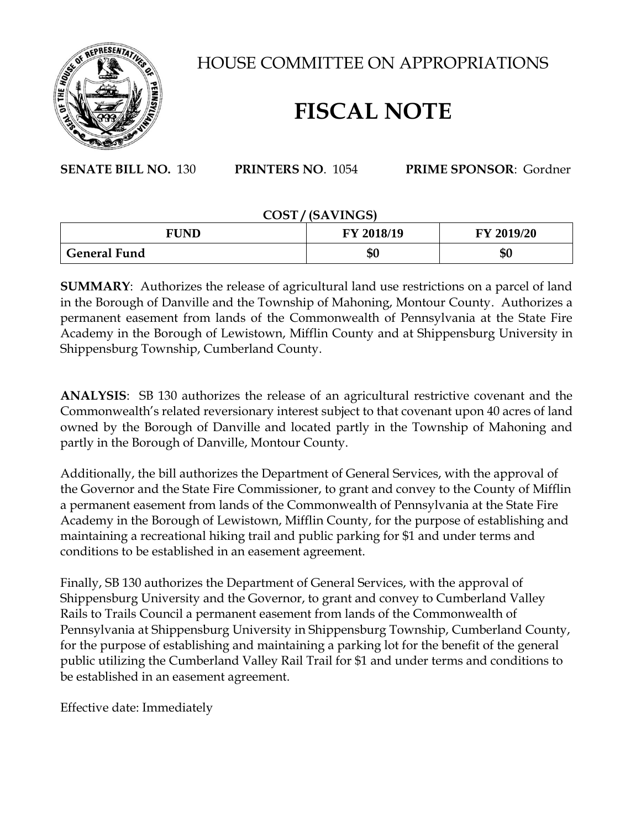

HOUSE COMMITTEE ON APPROPRIATIONS

## **FISCAL NOTE**

**SENATE BILL NO.** 130 **PRINTERS NO**. 1054 **PRIME SPONSOR**: Gordner

| COST/(SAVINGS)      |            |            |
|---------------------|------------|------------|
| <b>FUND</b>         | FY 2018/19 | FY 2019/20 |
| <b>General Fund</b> | \$0        | \$0        |

**SUMMARY**: Authorizes the release of agricultural land use restrictions on a parcel of land in the Borough of Danville and the Township of Mahoning, Montour County. Authorizes a permanent easement from lands of the Commonwealth of Pennsylvania at the State Fire Academy in the Borough of Lewistown, Mifflin County and at Shippensburg University in Shippensburg Township, Cumberland County.

**ANALYSIS**: SB 130 authorizes the release of an agricultural restrictive covenant and the Commonwealth's related reversionary interest subject to that covenant upon 40 acres of land owned by the Borough of Danville and located partly in the Township of Mahoning and partly in the Borough of Danville, Montour County.

Additionally, the bill authorizes the Department of General Services, with the approval of the Governor and the State Fire Commissioner, to grant and convey to the County of Mifflin a permanent easement from lands of the Commonwealth of Pennsylvania at the State Fire Academy in the Borough of Lewistown, Mifflin County, for the purpose of establishing and maintaining a recreational hiking trail and public parking for \$1 and under terms and conditions to be established in an easement agreement.

Finally, SB 130 authorizes the Department of General Services, with the approval of Shippensburg University and the Governor, to grant and convey to Cumberland Valley Rails to Trails Council a permanent easement from lands of the Commonwealth of Pennsylvania at Shippensburg University in Shippensburg Township, Cumberland County, for the purpose of establishing and maintaining a parking lot for the benefit of the general public utilizing the Cumberland Valley Rail Trail for \$1 and under terms and conditions to be established in an easement agreement.

Effective date: Immediately